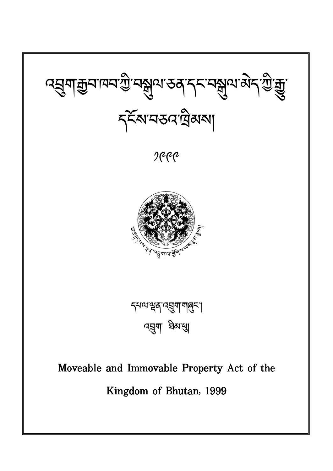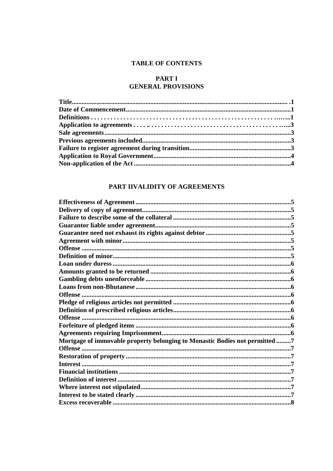# **TABLE OF CONTENTS**

# **PART I GENERAL PROVISIONS**

# PART IIVALIDITY OF AGREEMENTS

| Mortgage of immovable property belonging to Monastic Bodies not permitted 7 |  |
|-----------------------------------------------------------------------------|--|
|                                                                             |  |
|                                                                             |  |
|                                                                             |  |
|                                                                             |  |
|                                                                             |  |
|                                                                             |  |
|                                                                             |  |
|                                                                             |  |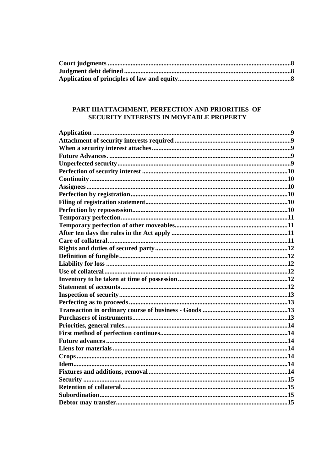# PART IIIATTACHMENT, PERFECTION AND PRIORITIES OF **SECURITY INTERESTS IN MOVEABLE PROPERTY**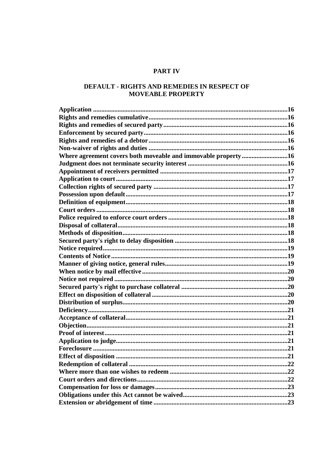# **PART IV**

# DEFAULT - RIGHTS AND REMEDIES IN RESPECT OF **MOVEABLE PROPERTY**

| Where agreement covers both moveable and immovable property16 |  |
|---------------------------------------------------------------|--|
|                                                               |  |
|                                                               |  |
|                                                               |  |
|                                                               |  |
|                                                               |  |
|                                                               |  |
|                                                               |  |
|                                                               |  |
|                                                               |  |
|                                                               |  |
|                                                               |  |
|                                                               |  |
|                                                               |  |
|                                                               |  |
|                                                               |  |
|                                                               |  |
|                                                               |  |
|                                                               |  |
|                                                               |  |
|                                                               |  |
|                                                               |  |
|                                                               |  |
|                                                               |  |
|                                                               |  |
|                                                               |  |
|                                                               |  |
|                                                               |  |
|                                                               |  |
|                                                               |  |
|                                                               |  |
|                                                               |  |
|                                                               |  |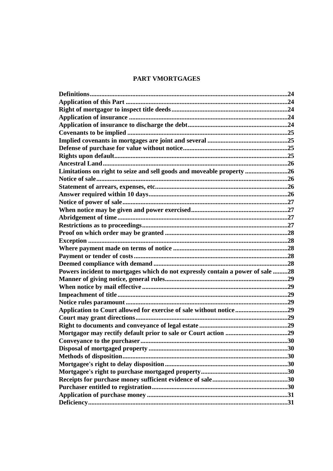# PART VMORTGAGES

| Limitations on right to seize and sell goods and moveable property 26          |     |
|--------------------------------------------------------------------------------|-----|
|                                                                                |     |
|                                                                                |     |
|                                                                                |     |
|                                                                                |     |
|                                                                                |     |
|                                                                                |     |
|                                                                                |     |
|                                                                                |     |
|                                                                                |     |
|                                                                                |     |
|                                                                                |     |
|                                                                                |     |
| Powers incident to mortgages which do not expressly contain a power of sale 28 |     |
|                                                                                |     |
|                                                                                |     |
|                                                                                |     |
|                                                                                |     |
| Application to Court allowed for exercise of sale without notice29             |     |
|                                                                                |     |
|                                                                                |     |
|                                                                                |     |
| Conveyance to the purchaser                                                    | .30 |
|                                                                                |     |
|                                                                                |     |
|                                                                                |     |
|                                                                                |     |
|                                                                                |     |
|                                                                                |     |
|                                                                                |     |
|                                                                                |     |
|                                                                                |     |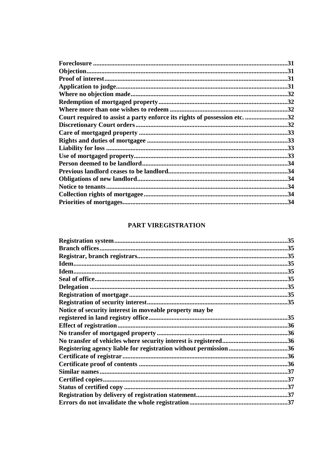|                                                                           | .31 |
|---------------------------------------------------------------------------|-----|
|                                                                           |     |
|                                                                           |     |
|                                                                           |     |
|                                                                           |     |
|                                                                           |     |
|                                                                           |     |
| Court required to assist a party enforce its rights of possession etc. 32 |     |
|                                                                           |     |
|                                                                           |     |
|                                                                           |     |
|                                                                           |     |
|                                                                           |     |
|                                                                           |     |
|                                                                           |     |
|                                                                           |     |
|                                                                           |     |
|                                                                           |     |
|                                                                           |     |

# PART VIREGISTRATION

|                                                                  | .35 |
|------------------------------------------------------------------|-----|
|                                                                  |     |
|                                                                  |     |
|                                                                  |     |
|                                                                  |     |
|                                                                  |     |
|                                                                  |     |
|                                                                  |     |
|                                                                  |     |
| Notice of security interest in moveable property may be          |     |
|                                                                  |     |
|                                                                  |     |
|                                                                  |     |
|                                                                  |     |
| Registering agency liable for registration without permission 36 |     |
|                                                                  |     |
|                                                                  |     |
|                                                                  |     |
|                                                                  |     |
|                                                                  |     |
|                                                                  |     |
|                                                                  |     |
|                                                                  |     |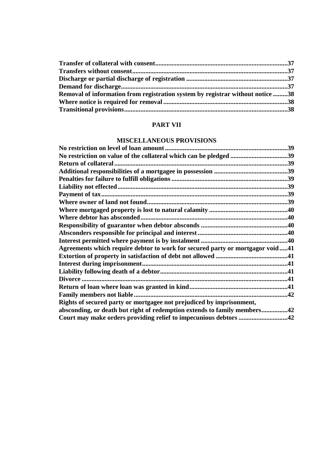| Removal of information from registration system by registrar without notice 38 |  |
|--------------------------------------------------------------------------------|--|
|                                                                                |  |
|                                                                                |  |

## **PART VII**

# **MISCELLANEOUS PROVISIONS**

| Agreements which require debtor to work for secured party or mortgagor void41<br>Divorce<br>42<br>Rights of secured party or mortgagee not prejudiced by imprisonment,<br>absconding, or death but right of redemption extends to family members42 | .39 |
|----------------------------------------------------------------------------------------------------------------------------------------------------------------------------------------------------------------------------------------------------|-----|
|                                                                                                                                                                                                                                                    |     |
|                                                                                                                                                                                                                                                    |     |
|                                                                                                                                                                                                                                                    |     |
|                                                                                                                                                                                                                                                    |     |
|                                                                                                                                                                                                                                                    |     |
|                                                                                                                                                                                                                                                    |     |
|                                                                                                                                                                                                                                                    |     |
|                                                                                                                                                                                                                                                    |     |
|                                                                                                                                                                                                                                                    |     |
|                                                                                                                                                                                                                                                    |     |
|                                                                                                                                                                                                                                                    |     |
|                                                                                                                                                                                                                                                    |     |
|                                                                                                                                                                                                                                                    |     |
|                                                                                                                                                                                                                                                    |     |
|                                                                                                                                                                                                                                                    |     |
|                                                                                                                                                                                                                                                    |     |
|                                                                                                                                                                                                                                                    |     |
|                                                                                                                                                                                                                                                    |     |
|                                                                                                                                                                                                                                                    |     |
|                                                                                                                                                                                                                                                    |     |
|                                                                                                                                                                                                                                                    |     |
|                                                                                                                                                                                                                                                    |     |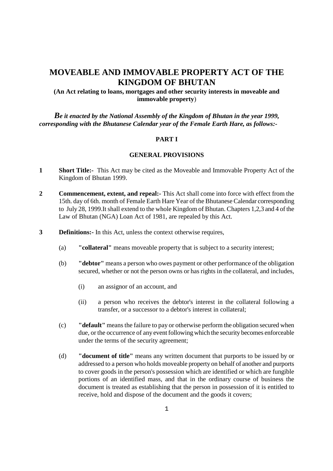# **MOVEABLE AND IMMOVABLE PROPERTY ACT OF THE KINGDOM OF BHUTAN**

**(An Act relating to loans, mortgages and other security interests in moveable and immovable property**)

*Be it enacted by the National Assembly of the Kingdom of Bhutan in the year 1999, corresponding with the Bhutanese Calendar year of the Female Earth Hare, as follows:-*

# **PART I**

#### **GENERAL PROVISIONS**

- **1 Short Title:-** This Act may be cited as the Moveable and Immovable Property Act of the Kingdom of Bhutan 1999.
- **2 Commencement, extent, and repeal:-** This Act shall come into force with effect from the 15th. day of 6th. month of Female Earth Hare Year of the Bhutanese Calendar corresponding to July 28, 1999.It shall extend to the whole Kingdom of Bhutan. Chapters 1,2,3 and 4 of the Law of Bhutan (NGA) Loan Act of 1981, are repealed by this Act.
- **3 Definitions:-** In this Act, unless the context otherwise requires,
	- (a) **"collateral"** means moveable property that is subject to a security interest;
	- (b) **"debtor"** means a person who owes payment or other performance of the obligation secured, whether or not the person owns or has rights in the collateral, and includes,
		- (i) an assignor of an account, and
		- (ii) a person who receives the debtor's interest in the collateral following a transfer, or a successor to a debtor's interest in collateral;
	- (c) **"default"** means the failure to pay or otherwise perform the obligation secured when due, or the occurrence of any event following which the security becomes enforceable under the terms of the security agreement;
	- (d) **"document of title"** means any written document that purports to be issued by or addressed to a person who holds moveable property on behalf of another and purports to cover goods in the person's possession which are identified or which are fungible portions of an identified mass, and that in the ordinary course of business the document is treated as establishing that the person in possession of it is entitled to receive, hold and dispose of the document and the goods it covers;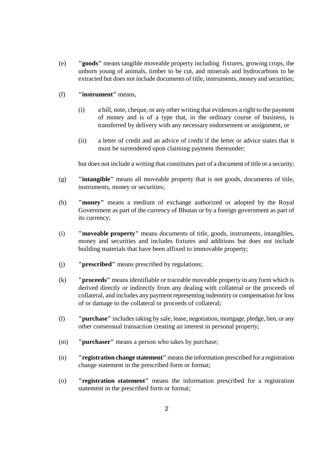- (e) **"goods"** means tangible moveable property including fixtures, growing crops, the unborn young of animals, timber to be cut, and minerals and hydrocarbons to be extracted but does not include documents of title, instruments, money and securities;
- (f) **"instrument"** means,
	- (i) a bill, note, cheque, or any other writing that evidences a right to the payment of money and is of a type that, in the ordinary course of business, is transferred by delivery with any necessary endorsement or assignment, or
	- (ii) a letter of credit and an advice of credit if the letter or advice states that it must be surrendered upon claiming payment thereunder;

but does not include a writing that constitutes part of a document of title or a security;

- (g) **"intangible"** means all moveable property that is not goods, documents of title, instruments, money or securities;
- (h) **"money"** means a medium of exchange authorized or adopted by the Royal Government as part of the currency of Bhutan or by a foreign government as part of its currency;
- (i) **"moveable property"** means documents of title, goods, instruments, intangibles, money and securities and includes fixtures and additions but does not include building materials that have been affixed to immovable property;
- (j) **"prescribed"** means prescribed by regulations;
- (k) **"proceeds"** means identifiable or traceable moveable property in any form which is derived directly or indirectly from any dealing with collateral or the proceeds of collateral, and includes any payment representing indemnity or compensation for loss of or damage to the collateral or proceeds of collateral;
- (l) **"purchase"** includes taking by sale, lease, negotiation, mortgage, pledge, lien, or any other consensual transaction creating an interest in personal property;
- (m) **"purchaser"** means a person who takes by purchase;
- (n) **"registration change statement"** means the information prescribed for a registration change statement in the prescribed form or format;
- (o) **"registration statement"** means the information prescribed for a registration statement in the prescribed form or format;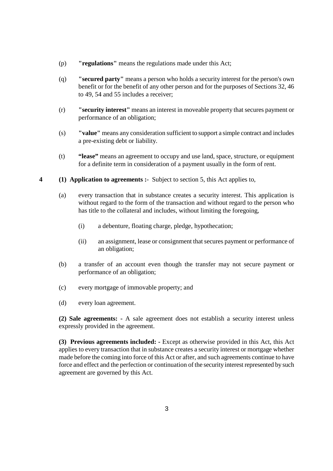- (p) **"regulations"** means the regulations made under this Act;
- (q) **"secured party"** means a person who holds a security interest for the person's own benefit or for the benefit of any other person and for the purposes of Sections 32, 46 to 49, 54 and 55 includes a receiver;
- (r) **"security interest"** means an interest in moveable property that secures payment or performance of an obligation;
- (s) **"value"** means any consideration sufficient to support a simple contract and includes a pre-existing debt or liability.
- (t) **"lease"** means an agreement to occupy and use land, space, structure, or equipment for a definite term in consideration of a payment usually in the form of rent.
- **4 (1) Application to agreements :** Subject to section 5, this Act applies to,
	- (a) every transaction that in substance creates a security interest. This application is without regard to the form of the transaction and without regard to the person who has title to the collateral and includes, without limiting the foregoing,
		- (i) a debenture, floating charge, pledge, hypothecation;
		- (ii) an assignment, lease or consignment that secures payment or performance of an obligation;
	- (b) a transfer of an account even though the transfer may not secure payment or performance of an obligation;
	- (c) every mortgage of immovable property; and
	- (d) every loan agreement.

**(2) Sale agreements: -** A sale agreement does not establish a security interest unless expressly provided in the agreement.

**(3) Previous agreements included: -** Except as otherwise provided in this Act, this Act applies to every transaction that in substance creates a security interest or mortgage whether made before the coming into force of this Act or after, and such agreements continue to have force and effect and the perfection or continuation of the security interest represented by such agreement are governed by this Act.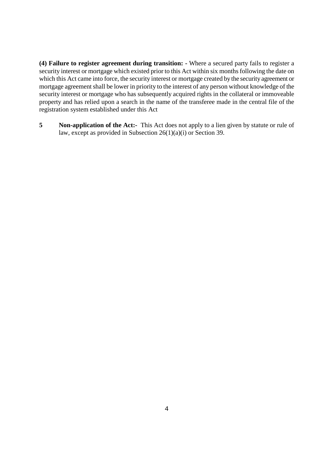**(4) Failure to register agreement during transition: -** Where a secured party fails to register a security interest or mortgage which existed prior to this Act within six months following the date on which this Act came into force, the security interest or mortgage created by the security agreement or mortgage agreement shall be lower in priority to the interest of any person without knowledge of the security interest or mortgage who has subsequently acquired rights in the collateral or immoveable property and has relied upon a search in the name of the transferee made in the central file of the registration system established under this Act

**5** Non-application of the Act:- This Act does not apply to a lien given by statute or rule of law, except as provided in Subsection 26(1)(a)(i) or Section 39.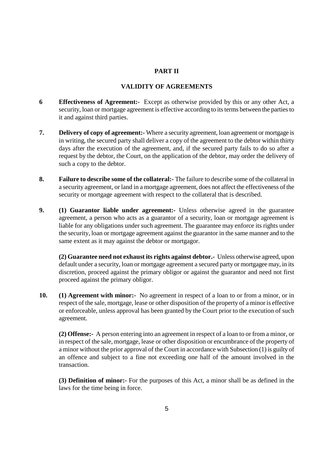### **PART II**

#### **VALIDITY OF AGREEMENTS**

- **6 Effectiveness of Agreement:-** Except as otherwise provided by this or any other Act, a security, loan or mortgage agreement is effective according to its terms between the parties to it and against third parties.
- **7. Delivery of copy of agreement:-** Where a security agreement, loan agreement or mortgage is in writing, the secured party shall deliver a copy of the agreement to the debtor within thirty days after the execution of the agreement, and, if the secured party fails to do so after a request by the debtor, the Court, on the application of the debtor, may order the delivery of such a copy to the debtor.
- **8. Failure to describe some of the collateral:-** The failure to describe some of the collateral in a security agreement, or land in a mortgage agreement, does not affect the effectiveness of the security or mortgage agreement with respect to the collateral that is described.
- **9. (1) Guarantor liable under agreement:-** Unless otherwise agreed in the guarantee agreement, a person who acts as a guarantor of a security, loan or mortgage agreement is liable for any obligations under such agreement. The guarantee may enforce its rights under the security, loan or mortgage agreement against the guarantor in the same manner and to the same extent as it may against the debtor or mortgagor.

**(2) Guarantee need not exhaust its rights against debtor.-** Unless otherwise agreed, upon default under a security, loan or mortgage agreement a secured party or mortgagee may, in its discretion, proceed against the primary obligor or against the guarantor and need not first proceed against the primary obligor.

**10. (1) Agreement with minor:-** No agreement in respect of a loan to or from a minor, or in respect of the sale, mortgage, lease or other disposition of the property of a minor is effective or enforceable, unless approval has been granted by the Court prior to the execution of such agreement.

**(2) Offense:-** A person entering into an agreement in respect of a loan to or from a minor, or in respect of the sale, mortgage, lease or other disposition or encumbrance of the property of a minor without the prior approval of the Court in accordance with Subsection (1) is guilty of an offence and subject to a fine not exceeding one half of the amount involved in the transaction.

**(3) Definition of minor:-** For the purposes of this Act, a minor shall be as defined in the laws for the time being in force.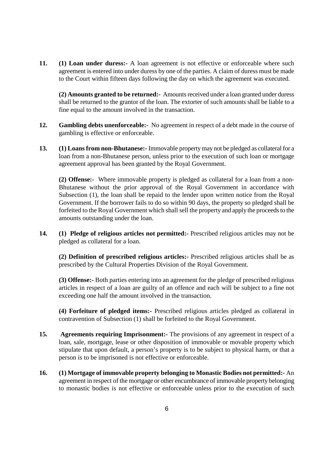**11. (1) Loan under duress:-** A loan agreement is not effective or enforceable where such agreement is entered into under duress by one of the parties. A claim of duress must be made to the Court within fifteen days following the day on which the agreement was executed.

**(2) Amounts granted to be returned:-** Amounts received under a loan granted under duress shall be returned to the grantor of the loan. The extorter of such amounts shall be liable to a fine equal to the amount involved in the transaction.

- **12. Gambling debts unenforceable:-** No agreement in respect of a debt made in the course of gambling is effective or enforceable.
- **13. (1) Loans from non-Bhutanese:-** Immovable property may not be pledged as collateral for a loan from a non-Bhutanese person, unless prior to the execution of such loan or mortgage agreement approval has been granted by the Royal Government.

**(2) Offense:-** Where immovable property is pledged as collateral for a loan from a non-Bhutanese without the prior approval of the Royal Government in accordance with Subsection (1), the loan shall be repaid to the lender upon written notice from the Royal Government. If the borrower fails to do so within 90 days, the property so pledged shall be forfeited to the Royal Government which shall sell the property and apply the proceeds to the amounts outstanding under the loan.

**14. (1) Pledge of religious articles not permitted:-** Prescribed religious articles may not be pledged as collateral for a loan.

**(2) Definition of prescribed religious articles:-** Prescribed religious articles shall be as prescribed by the Cultural Properties Division of the Royal Government.

**(3) Offense:-** Both parties entering into an agreement for the pledge of prescribed religious articles in respect of a loan are guilty of an offence and each will be subject to a fine not exceeding one half the amount involved in the transaction.

**(4) Forfeiture of pledged items:-** Prescribed religious articles pledged as collateral in contravention of Subsection (1) shall be forfeited to the Royal Government.

- **15. Agreements requiring Imprisonment:-** The provisions of any agreement in respect of a loan, sale, mortgage, lease or other disposition of immovable or movable property which stipulate that upon default, a person's property is to be subject to physical harm, or that a person is to be imprisoned is not effective or enforceable.
- **16. (1) Mortgage of immovable property belonging to Monastic Bodies not permitted:-** An agreement in respect of the mortgage or other encumbrance of immovable property belonging to monastic bodies is not effective or enforceable unless prior to the execution of such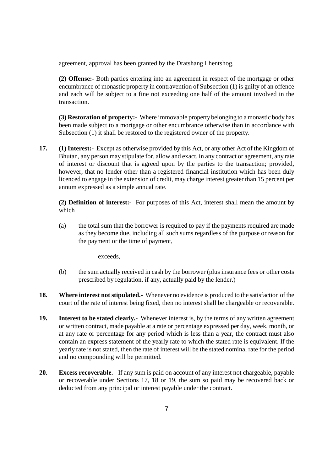agreement, approval has been granted by the Dratshang Lhentshog.

**(2) Offense:-** Both parties entering into an agreement in respect of the mortgage or other encumbrance of monastic property in contravention of Subsection (1) is guilty of an offence and each will be subject to a fine not exceeding one half of the amount involved in the transaction.

**(3) Restoration of property:-** Where immovable property belonging to a monastic body has been made subject to a mortgage or other encumbrance otherwise than in accordance with Subsection (1) it shall be restored to the registered owner of the property.

**17. (1) Interest:-** Except as otherwise provided by this Act, or any other Act of the Kingdom of Bhutan, any person may stipulate for, allow and exact, in any contract or agreement, any rate of interest or discount that is agreed upon by the parties to the transaction; provided, however, that no lender other than a registered financial institution which has been duly licenced to engage in the extension of credit, may charge interest greater than 15 percent per annum expressed as a simple annual rate.

**(2) Definition of interest:-** For purposes of this Act, interest shall mean the amount by which

(a) the total sum that the borrower is required to pay if the payments required are made as they become due, including all such sums regardless of the purpose or reason for the payment or the time of payment,

exceeds,

- (b) the sum actually received in cash by the borrower (plus insurance fees or other costs prescribed by regulation, if any, actually paid by the lender.)
- **18. Where interest not stipulated.-** Whenever no evidence is produced to the satisfaction of the court of the rate of interest being fixed, then no interest shall be chargeable or recoverable.
- **19. Interest to be stated clearly.-** Whenever interest is, by the terms of any written agreement or written contract, made payable at a rate or percentage expressed per day, week, month, or at any rate or percentage for any period which is less than a year, the contract must also contain an express statement of the yearly rate to which the stated rate is equivalent. If the yearly rate is not stated, then the rate of interest will be the stated nominal rate for the period and no compounding will be permitted.
- **20. Excess recoverable.-** If any sum is paid on account of any interest not chargeable, payable or recoverable under Sections 17, 18 or 19, the sum so paid may be recovered back or deducted from any principal or interest payable under the contract.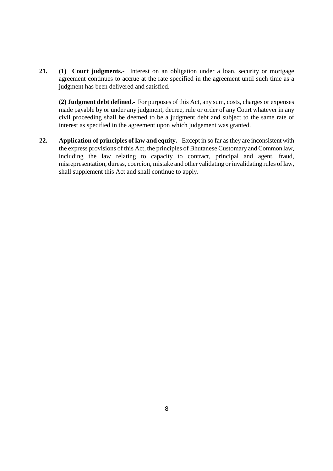21. (1) Court judgments.- Interest on an obligation under a loan, security or mortgage agreement continues to accrue at the rate specified in the agreement until such time as a judgment has been delivered and satisfied.

**(2) Judgment debt defined.-** For purposes of this Act, any sum, costs, charges or expenses made payable by or under any judgment, decree, rule or order of any Court whatever in any civil proceeding shall be deemed to be a judgment debt and subject to the same rate of interest as specified in the agreement upon which judgement was granted.

**22. Application of principles of law and equity.-** Except in so far as they are inconsistent with the express provisions of this Act, the principles of Bhutanese Customary and Common law, including the law relating to capacity to contract, principal and agent, fraud, misrepresentation, duress, coercion, mistake and other validating or invalidating rules of law, shall supplement this Act and shall continue to apply.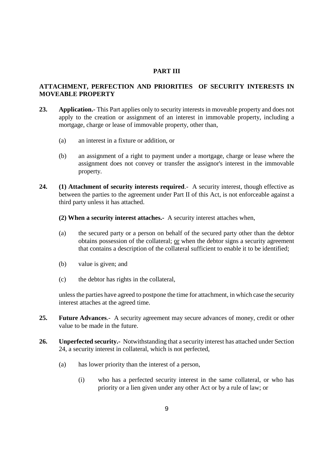### **PART III**

# **ATTACHMENT, PERFECTION AND PRIORITIES OF SECURITY INTERESTS IN MOVEABLE PROPERTY**

- **23. Application.-** This Part applies only to security interests in moveable property and does not apply to the creation or assignment of an interest in immovable property, including a mortgage, charge or lease of immovable property, other than,
	- (a) an interest in a fixture or addition, or
	- (b) an assignment of a right to payment under a mortgage, charge or lease where the assignment does not convey or transfer the assignor's interest in the immovable property.
- **24. (1) Attachment of security interests required**.- A security interest, though effective as between the parties to the agreement under Part II of this Act, is not enforceable against a third party unless it has attached.
	- **(2) When a security interest attaches.-** A security interest attaches when,
	- (a) the secured party or a person on behalf of the secured party other than the debtor obtains possession of the collateral; or when the debtor signs a security agreement that contains a description of the collateral sufficient to enable it to be identified;
	- (b) value is given; and
	- (c) the debtor has rights in the collateral,

unless the parties have agreed to postpone the time for attachment, in which case the security interest attaches at the agreed time.

- **25. Future Advances**.- A security agreement may secure advances of money, credit or other value to be made in the future.
- **26. Unperfected security.-** Notwithstanding that a security interest has attached under Section 24, a security interest in collateral, which is not perfected,
	- (a) has lower priority than the interest of a person,
		- (i) who has a perfected security interest in the same collateral, or who has priority or a lien given under any other Act or by a rule of law; or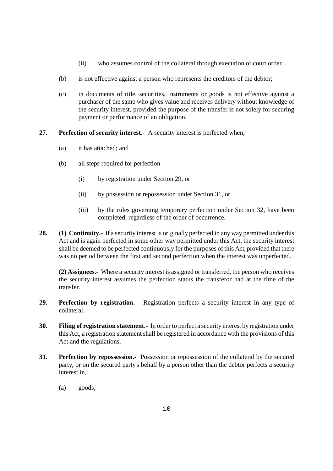- (ii) who assumes control of the collateral through execution of court order.
- (b) is not effective against a person who represents the creditors of the debtor;
- (c) in documents of title, securities, instruments or goods is not effective against a purchaser of the same who gives value and receives delivery without knowledge of the security interest, provided the purpose of the transfer is not solely for securing payment or performance of an obligation.
- **27. Perfection of security interest.-** A security interest is perfected when,
	- (a) it has attached; and
	- (b) all steps required for perfection
		- (i) by registration under Section 29, or
		- (ii) by possession or repossession under Section 31, or
		- (iii) by the rules governing temporary perfection under Section 32, have been completed, regardless of the order of occurrence.
- **28. (1) Continuity.-** If a security interest is originally perfected in any way permitted under this Act and is again perfected in some other way permitted under this Act, the security interest shall be deemed to be perfected continuously for the purposes of this Act, provided that there was no period between the first and second perfection when the interest was unperfected.

**(2) Assignees.-** Where a security interest is assigned or transferred, the person who receives the security interest assumes the perfection status the transferor had at the time of the transfer.

- **29. Perfection by registration.-** Registration perfects a security interest in any type of collateral.
- **30. Filing of registration statement.-** In order to perfect a security interest by registration under this Act, a registration statement shall be registered in accordance with the provisions of this Act and the regulations.
- **31. Perfection by repossession.-** Possession or repossession of the collateral by the secured party, or on the secured party's behalf by a person other than the debtor perfects a security interest in,
	- (a) goods;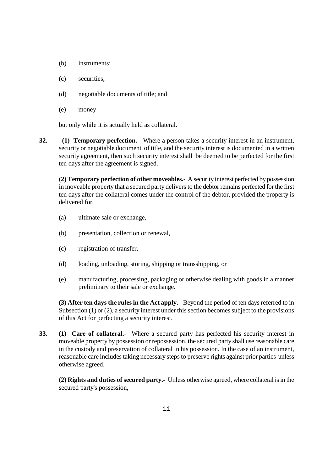- (b) instruments;
- (c) securities;
- (d) negotiable documents of title; and
- (e) money

but only while it is actually held as collateral.

**32. (1) Temporary perfection.-** Where a person takes a security interest in an instrument, security or negotiable document of title, and the security interest is documented in a written security agreement, then such security interest shall be deemed to be perfected for the first ten days after the agreement is signed.

**(2) Temporary perfection of other moveables.-** A security interest perfected by possession in moveable property that a secured party delivers to the debtor remains perfected for the first ten days after the collateral comes under the control of the debtor, provided the property is delivered for,

- (a) ultimate sale or exchange,
- (b) presentation, collection or renewal,
- (c) registration of transfer,
- (d) loading, unloading, storing, shipping or transshipping, or
- (e) manufacturing, processing, packaging or otherwise dealing with goods in a manner preliminary to their sale or exchange.

**(3) After ten days the rules in the Act apply.-** Beyond the period of ten days referred to in Subsection (1) or (2), a security interest under this section becomes subject to the provisions of this Act for perfecting a security interest.

**33. (1) Care of collateral.-** Where a secured party has perfected his security interest in moveable property by possession or repossession, the secured party shall use reasonable care in the custody and preservation of collateral in his possession. In the case of an instrument, reasonable care includes taking necessary steps to preserve rights against prior parties unless otherwise agreed.

**(2) Rights and duties of secured party.-** Unless otherwise agreed, where collateral is in the secured party's possession,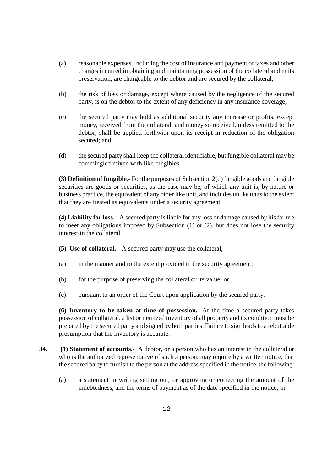- (a) reasonable expenses, including the cost of insurance and payment of taxes and other charges incurred in obtaining and maintaining possession of the collateral and in its preservation, are chargeable to the debtor and are secured by the collateral;
- (b) the risk of loss or damage, except where caused by the negligence of the secured party, is on the debtor to the extent of any deficiency in any insurance coverage;
- (c) the secured party may hold as additional security any increase or profits, except money, received from the collateral, and money so received, unless remitted to the debtor, shall be applied forthwith upon its receipt in reduction of the obligation secured; and
- (d) the secured party shall keep the collateral identifiable, but fungible collateral may be commingled mixed with like fungibles.

**(3) Definition of fungible.-** For the purposes of Subsection 2(d) fungible goods and fungible securities are goods or securities, as the case may be, of which any unit is, by nature or business practice, the equivalent of any other like unit, and includes unlike units to the extent that they are treated as equivalents under a security agreement.

**(4) Liability for loss.-** A secured party is liable for any loss or damage caused by his failure to meet any obligations imposed by Subsection (1) or (2), but does not lose the security interest in the collateral.

- **(5) Use of collateral.-** A secured party may use the collateral,
- (a) in the manner and to the extent provided in the security agreement;
- (b) for the purpose of preserving the collateral or its value; or
- (c) pursuant to an order of the Court upon application by the secured party.

**(6) Inventory to be taken at time of possession.-** At the time a secured party takes possession of collateral, a list or itemized inventory of all property and its condition must be prepared by the secured party and signed by both parties. Failure to sign leads to a rebuttable presumption that the inventory is accurate.

- **34. (1) Statement of accounts.** A debtor, or a person who has an interest in the collateral or who is the authorized representative of such a person, may require by a written notice, that the secured party to furnish to the person at the address specified in the notice, the following:
	- (a) a statement in writing setting out, or approving or correcting the amount of the indebtedness, and the terms of payment as of the date specified in the notice; or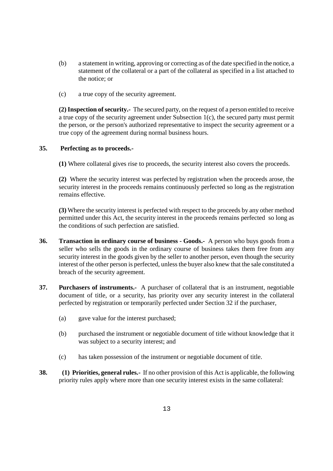- (b) a statement in writing, approving or correcting as of the date specified in the notice, a statement of the collateral or a part of the collateral as specified in a list attached to the notice; or
- (c) a true copy of the security agreement.

**(2) Inspection of security.-** The secured party, on the request of a person entitled to receive a true copy of the security agreement under Subsection 1(c), the secured party must permit the person, or the person's authorized representative to inspect the security agreement or a true copy of the agreement during normal business hours.

#### **35. Perfecting as to proceeds.-**

**(1)** Where collateral gives rise to proceeds, the security interest also covers the proceeds.

**(2)** Where the security interest was perfected by registration when the proceeds arose, the security interest in the proceeds remains continuously perfected so long as the registration remains effective.

**(3)** Where the security interest is perfected with respect to the proceeds by any other method permitted under this Act, the security interest in the proceeds remains perfected so long as the conditions of such perfection are satisfied.

- **36. Transaction in ordinary course of business Goods.-** A person who buys goods from a seller who sells the goods in the ordinary course of business takes them free from any security interest in the goods given by the seller to another person, even though the security interest of the other person is perfected, unless the buyer also knew that the sale constituted a breach of the security agreement.
- **37. Purchasers of instruments.-** A purchaser of collateral that is an instrument, negotiable document of title, or a security, has priority over any security interest in the collateral perfected by registration or temporarily perfected under Section 32 if the purchaser,
	- (a) gave value for the interest purchased;
	- (b) purchased the instrument or negotiable document of title without knowledge that it was subject to a security interest; and
	- (c) has taken possession of the instrument or negotiable document of title.
- **38. (1) Priorities, general rules.-** If no other provision of this Act is applicable, the following priority rules apply where more than one security interest exists in the same collateral: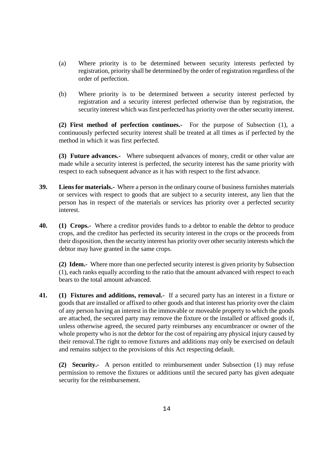- (a) Where priority is to be determined between security interests perfected by registration, priority shall be determined by the order of registration regardless of the order of perfection.
- (b) Where priority is to be determined between a security interest perfected by registration and a security interest perfected otherwise than by registration, the security interest which was first perfected has priority over the other security interest.

**(2) First method of perfection continues.-** For the purpose of Subsection (1), a continuously perfected security interest shall be treated at all times as if perfected by the method in which it was first perfected.

**(3) Future advances.-** Where subsequent advances of money, credit or other value are made while a security interest is perfected, the security interest has the same priority with respect to each subsequent advance as it has with respect to the first advance.

- **39. Liens for materials.-** Where a person in the ordinary course of business furnishes materials or services with respect to goods that are subject to a security interest, any lien that the person has in respect of the materials or services has priority over a perfected security interest.
- **40. (1) Crops.-** Where a creditor provides funds to a debtor to enable the debtor to produce crops, and the creditor has perfected its security interest in the crops or the proceeds from their disposition, then the security interest has priority over other security interests which the debtor may have granted in the same crops.

**(2) Idem.-** Where more than one perfected security interest is given priority by Subsection (1), each ranks equally according to the ratio that the amount advanced with respect to each bears to the total amount advanced.

**41. (1) Fixtures and additions, removal.-** If a secured party has an interest in a fixture or goods that are installed or affixed to other goods and that interest has priority over the claim of any person having an interest in the immovable or moveable property to which the goods are attached, the secured party may remove the fixture or the installed or affixed goods if, unless otherwise agreed, the secured party reimburses any encumbrancer or owner of the whole property who is not the debtor for the cost of repairing any physical injury caused by their removal.The right to remove fixtures and additions may only be exercised on default and remains subject to the provisions of this Act respecting default.

**(2) Security.-** A person entitled to reimbursement under Subsection (1) may refuse permission to remove the fixtures or additions until the secured party has given adequate security for the reimbursement.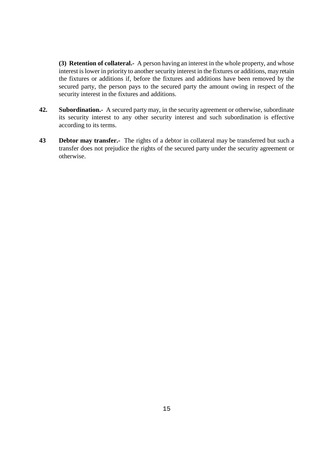**(3) Retention of collateral.-** A person having an interest in the whole property, and whose interest is lower in priority to another security interest in the fixtures or additions, may retain the fixtures or additions if, before the fixtures and additions have been removed by the secured party, the person pays to the secured party the amount owing in respect of the security interest in the fixtures and additions.

- **42. Subordination.-** A secured party may, in the security agreement or otherwise, subordinate its security interest to any other security interest and such subordination is effective according to its terms.
- **43** Debtor may transfer.- The rights of a debtor in collateral may be transferred but such a transfer does not prejudice the rights of the secured party under the security agreement or otherwise.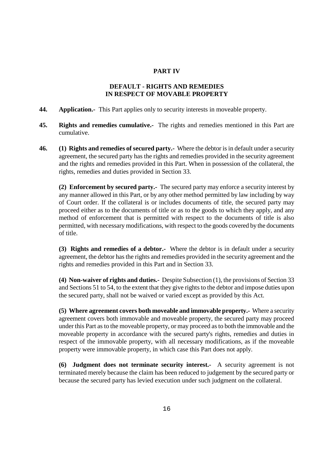#### **PART IV**

## **DEFAULT - RIGHTS AND REMEDIES IN RESPECT OF MOVABLE PROPERTY**

- **44. Application.-** This Part applies only to security interests in moveable property.
- **45. Rights and remedies cumulative.-** The rights and remedies mentioned in this Part are cumulative.
- **46. (1) Rights and remedies of secured party.-** Where the debtor is in default under a security agreement, the secured party has the rights and remedies provided in the security agreement and the rights and remedies provided in this Part. When in possession of the collateral, the rights, remedies and duties provided in Section 33.

**(2) Enforcement by secured party.-** The secured party may enforce a security interest by any manner allowed in this Part, or by any other method permitted by law including by way of Court order. If the collateral is or includes documents of title, the secured party may proceed either as to the documents of title or as to the goods to which they apply, and any method of enforcement that is permitted with respect to the documents of title is also permitted, with necessary modifications, with respect to the goods covered by the documents of title.

**(3) Rights and remedies of a debtor.-** Where the debtor is in default under a security agreement, the debtor has the rights and remedies provided in the security agreement and the rights and remedies provided in this Part and in Section 33.

**(4) Non-waiver of rights and duties.-** Despite Subsection (1), the provisions of Section 33 and Sections 51 to 54, to the extent that they give rights to the debtor and impose duties upon the secured party, shall not be waived or varied except as provided by this Act.

**(5) Where agreement covers both moveable and immovable property.-** Where a security agreement covers both immovable and moveable property, the secured party may proceed under this Part as to the moveable property, or may proceed as to both the immovable and the moveable property in accordance with the secured party's rights, remedies and duties in respect of the immovable property, with all necessary modifications, as if the moveable property were immovable property, in which case this Part does not apply.

**(6) Judgment does not terminate security interest.-** A security agreement is not terminated merely because the claim has been reduced to judgement by the secured party or because the secured party has levied execution under such judgment on the collateral.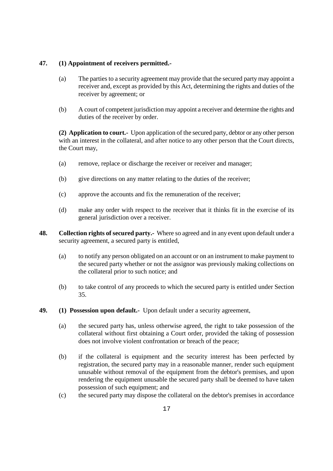## **47. (1) Appointment of receivers permitted.-**

- (a) The parties to a security agreement may provide that the secured party may appoint a receiver and, except as provided by this Act, determining the rights and duties of the receiver by agreement; or
- (b) A court of competent jurisdiction may appoint a receiver and determine the rights and duties of the receiver by order.

**(2) Application to court.-** Upon application of the secured party, debtor or any other person with an interest in the collateral, and after notice to any other person that the Court directs, the Court may,

- (a) remove, replace or discharge the receiver or receiver and manager;
- (b) give directions on any matter relating to the duties of the receiver;
- (c) approve the accounts and fix the remuneration of the receiver;
- (d) make any order with respect to the receiver that it thinks fit in the exercise of its general jurisdiction over a receiver.
- **48. Collection rights of secured party.-** Where so agreed and in any event upon default under a security agreement, a secured party is entitled,
	- (a) to notify any person obligated on an account or on an instrument to make payment to the secured party whether or not the assignor was previously making collections on the collateral prior to such notice; and
	- (b) to take control of any proceeds to which the secured party is entitled under Section 35.
- **49. (1) Possession upon default.-** Upon default under a security agreement,
	- (a) the secured party has, unless otherwise agreed, the right to take possession of the collateral without first obtaining a Court order, provided the taking of possession does not involve violent confrontation or breach of the peace;
	- (b) if the collateral is equipment and the security interest has been perfected by registration, the secured party may in a reasonable manner, render such equipment unusable without removal of the equipment from the debtor's premises, and upon rendering the equipment unusable the secured party shall be deemed to have taken possession of such equipment; and
	- (c) the secured party may dispose the collateral on the debtor's premises in accordance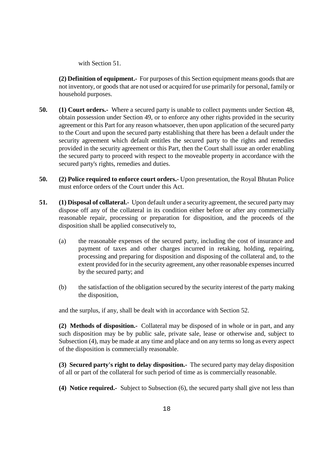with Section 51.

**(2) Definition of equipment.-** For purposes of this Section equipment means goods that are not inventory, or goods that are not used or acquired for use primarily for personal, family or household purposes.

- **50. (1) Court orders.-** Where a secured party is unable to collect payments under Section 48, obtain possession under Section 49, or to enforce any other rights provided in the security agreement or this Part for any reason whatsoever, then upon application of the secured party to the Court and upon the secured party establishing that there has been a default under the security agreement which default entitles the secured party to the rights and remedies provided in the security agreement or this Part, then the Court shall issue an order enabling the secured party to proceed with respect to the moveable property in accordance with the secured party's rights, remedies and duties.
- **50. (2) Police required to enforce court orders.-** Upon presentation, the Royal Bhutan Police must enforce orders of the Court under this Act.
- **51. (1) Disposal of collateral.-** Upon default under a security agreement, the secured party may dispose off any of the collateral in its condition either before or after any commercially reasonable repair, processing or preparation for disposition, and the proceeds of the disposition shall be applied consecutively to,
	- (a) the reasonable expenses of the secured party, including the cost of insurance and payment of taxes and other charges incurred in retaking, holding, repairing, processing and preparing for disposition and disposing of the collateral and, to the extent provided for in the security agreement, any other reasonable expenses incurred by the secured party; and
	- (b) the satisfaction of the obligation secured by the security interest of the party making the disposition,

and the surplus, if any, shall be dealt with in accordance with Section 52.

**(2) Methods of disposition.-** Collateral may be disposed of in whole or in part, and any such disposition may be by public sale, private sale, lease or otherwise and, subject to Subsection (4), may be made at any time and place and on any terms so long as every aspect of the disposition is commercially reasonable.

**(3) Secured party's right to delay disposition.-** The secured party may delay disposition of all or part of the collateral for such period of time as is commercially reasonable.

**(4) Notice required.-** Subject to Subsection (6), the secured party shall give not less than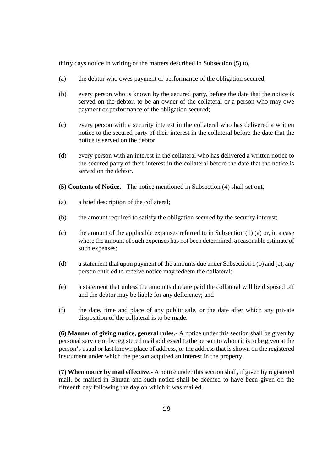thirty days notice in writing of the matters described in Subsection (5) to,

- (a) the debtor who owes payment or performance of the obligation secured;
- (b) every person who is known by the secured party, before the date that the notice is served on the debtor, to be an owner of the collateral or a person who may owe payment or performance of the obligation secured;
- (c) every person with a security interest in the collateral who has delivered a written notice to the secured party of their interest in the collateral before the date that the notice is served on the debtor.
- (d) every person with an interest in the collateral who has delivered a written notice to the secured party of their interest in the collateral before the date that the notice is served on the debtor.
- **(5) Contents of Notice.-** The notice mentioned in Subsection (4) shall set out,
- (a) a brief description of the collateral;
- (b) the amount required to satisfy the obligation secured by the security interest;
- (c) the amount of the applicable expenses referred to in Subsection (1) (a) or, in a case where the amount of such expenses has not been determined, a reasonable estimate of such expenses;
- (d) a statement that upon payment of the amounts due under Subsection 1 (b) and (c), any person entitled to receive notice may redeem the collateral;
- (e) a statement that unless the amounts due are paid the collateral will be disposed off and the debtor may be liable for any deficiency; and
- (f) the date, time and place of any public sale, or the date after which any private disposition of the collateral is to be made.

**(6) Manner of giving notice, general rules.-** A notice under this section shall be given by personal service or by registered mail addressed to the person to whom it is to be given at the person's usual or last known place of address, or the address that is shown on the registered instrument under which the person acquired an interest in the property.

**(7) When notice by mail effective.-** A notice under this section shall, if given by registered mail, be mailed in Bhutan and such notice shall be deemed to have been given on the fifteenth day following the day on which it was mailed.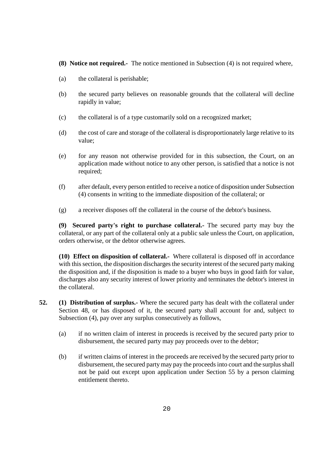- **(8) Notice not required.-** The notice mentioned in Subsection (4) is not required where,
- (a) the collateral is perishable;
- (b) the secured party believes on reasonable grounds that the collateral will decline rapidly in value;
- (c) the collateral is of a type customarily sold on a recognized market;
- (d) the cost of care and storage of the collateral is disproportionately large relative to its value;
- (e) for any reason not otherwise provided for in this subsection, the Court, on an application made without notice to any other person, is satisfied that a notice is not required;
- (f) after default, every person entitled to receive a notice of disposition under Subsection (4) consents in writing to the immediate disposition of the collateral; or
- (g) a receiver disposes off the collateral in the course of the debtor's business.

**(9) Secured party's right to purchase collateral.-** The secured party may buy the collateral, or any part of the collateral only at a public sale unless the Court, on application, orders otherwise, or the debtor otherwise agrees.

**(10) Effect on disposition of collateral.-** Where collateral is disposed off in accordance with this section, the disposition discharges the security interest of the secured party making the disposition and, if the disposition is made to a buyer who buys in good faith for value, discharges also any security interest of lower priority and terminates the debtor's interest in the collateral.

- **52. (1) Distribution of surplus.-** Where the secured party has dealt with the collateral under Section 48, or has disposed of it, the secured party shall account for and, subject to Subsection (4), pay over any surplus consecutively as follows,
	- (a) if no written claim of interest in proceeds is received by the secured party prior to disbursement, the secured party may pay proceeds over to the debtor;
	- (b) if written claims of interest in the proceeds are received by the secured party prior to disbursement, the secured party may pay the proceeds into court and the surplus shall not be paid out except upon application under Section 55 by a person claiming entitlement thereto.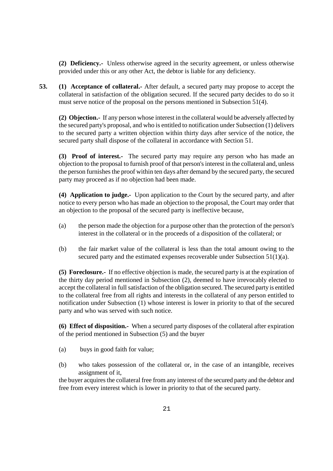**(2) Deficiency.-** Unless otherwise agreed in the security agreement, or unless otherwise provided under this or any other Act, the debtor is liable for any deficiency.

**53. (1) Acceptance of collateral.-** After default, a secured party may propose to accept the collateral in satisfaction of the obligation secured. If the secured party decides to do so it must serve notice of the proposal on the persons mentioned in Subsection 51(4).

**(2) Objection.-** If any person whose interest in the collateral would be adversely affected by the secured party's proposal, and who is entitled to notification under Subsection (1) delivers to the secured party a written objection within thirty days after service of the notice, the secured party shall dispose of the collateral in accordance with Section 51.

**(3) Proof of interest.-** The secured party may require any person who has made an objection to the proposal to furnish proof of that person's interest in the collateral and, unless the person furnishes the proof within ten days after demand by the secured party, the secured party may proceed as if no objection had been made.

**(4) Application to judge.-** Upon application to the Court by the secured party, and after notice to every person who has made an objection to the proposal, the Court may order that an objection to the proposal of the secured party is ineffective because,

- (a) the person made the objection for a purpose other than the protection of the person's interest in the collateral or in the proceeds of a disposition of the collateral; or
- (b) the fair market value of the collateral is less than the total amount owing to the secured party and the estimated expenses recoverable under Subsection 51(1)(a).

**(5) Foreclosure.-** If no effective objection is made, the secured party is at the expiration of the thirty day period mentioned in Subsection (2), deemed to have irrevocably elected to accept the collateral in full satisfaction of the obligation secured. The secured party is entitled to the collateral free from all rights and interests in the collateral of any person entitled to notification under Subsection (1) whose interest is lower in priority to that of the secured party and who was served with such notice.

**(6) Effect of disposition.-** When a secured party disposes of the collateral after expiration of the period mentioned in Subsection (5) and the buyer

- (a) buys in good faith for value;
- (b) who takes possession of the collateral or, in the case of an intangible, receives assignment of it,

the buyer acquires the collateral free from any interest of the secured party and the debtor and free from every interest which is lower in priority to that of the secured party.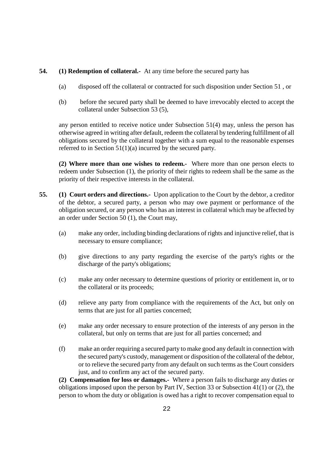### **54. (1) Redemption of collateral.-** At any time before the secured party has

- (a) disposed off the collateral or contracted for such disposition under Section 51 , or
- (b) before the secured party shall be deemed to have irrevocably elected to accept the collateral under Subsection 53 (5),

any person entitled to receive notice under Subsection 51(4) may, unless the person has otherwise agreed in writing after default, redeem the collateral by tendering fulfillment of all obligations secured by the collateral together with a sum equal to the reasonable expenses referred to in Section 51(1)(a) incurred by the secured party.

**(2) Where more than one wishes to redeem.-** Where more than one person elects to redeem under Subsection (1), the priority of their rights to redeem shall be the same as the priority of their respective interests in the collateral.

- **55. (1) Court orders and directions.-** Upon application to the Court by the debtor, a creditor of the debtor, a secured party, a person who may owe payment or performance of the obligation secured, or any person who has an interest in collateral which may be affected by an order under Section 50 (1), the Court may,
	- (a) make any order, including binding declarations of rights and injunctive relief, that is necessary to ensure compliance;
	- (b) give directions to any party regarding the exercise of the party's rights or the discharge of the party's obligations;
	- (c) make any order necessary to determine questions of priority or entitlement in, or to the collateral or its proceeds;
	- (d) relieve any party from compliance with the requirements of the Act, but only on terms that are just for all parties concerned;
	- (e) make any order necessary to ensure protection of the interests of any person in the collateral, but only on terms that are just for all parties concerned; and
	- (f) make an order requiring a secured party to make good any default in connection with the secured party's custody, management or disposition of the collateral of the debtor, or to relieve the secured party from any default on such terms as the Court considers just, and to confirm any act of the secured party.

**(2) Compensation for loss or damages.-** Where a person fails to discharge any duties or obligations imposed upon the person by Part IV, Section 33 or Subsection 41(1) or (2), the person to whom the duty or obligation is owed has a right to recover compensation equal to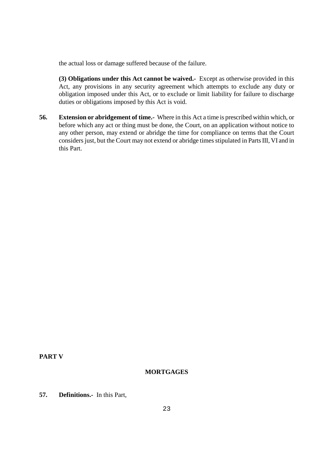the actual loss or damage suffered because of the failure.

**(3) Obligations under this Act cannot be waived.-** Except as otherwise provided in this Act, any provisions in any security agreement which attempts to exclude any duty or obligation imposed under this Act, or to exclude or limit liability for failure to discharge duties or obligations imposed by this Act is void.

**56. Extension or abridgement of time.-** Where in this Act a time is prescribed within which, or before which any act or thing must be done, the Court, on an application without notice to any other person, may extend or abridge the time for compliance on terms that the Court considers just, but the Court may not extend or abridge times stipulated in Parts III, VI and in this Part.

**PART V** 

# **MORTGAGES**

**57. Definitions.-** In this Part,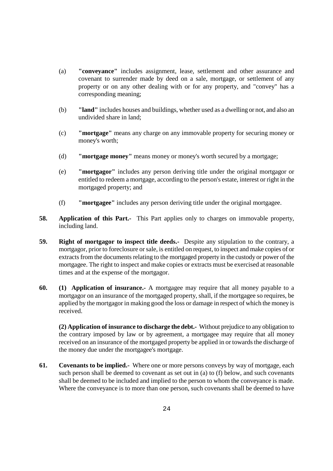- (a) **"conveyance"** includes assignment, lease, settlement and other assurance and covenant to surrender made by deed on a sale, mortgage, or settlement of any property or on any other dealing with or for any property, and "convey" has a corresponding meaning;
- (b) **"land"** includes houses and buildings, whether used as a dwelling or not, and also an undivided share in land;
- (c) **"mortgage"** means any charge on any immovable property for securing money or money's worth;
- (d) **"mortgage money"** means money or money's worth secured by a mortgage;
- (e) **"mortgagor"** includes any person deriving title under the original mortgagor or entitled to redeem a mortgage, according to the person's estate, interest or right in the mortgaged property; and
- (f) **"mortgagee"** includes any person deriving title under the original mortgagee.
- **58. Application of this Part.-** This Part applies only to charges on immovable property, including land.
- **59. Right of mortgagor to inspect title deeds.-** Despite any stipulation to the contrary, a mortgagor, prior to foreclosure or sale, is entitled on request, to inspect and make copies of or extracts from the documents relating to the mortgaged property in the custody or power of the mortgagee. The right to inspect and make copies or extracts must be exercised at reasonable times and at the expense of the mortgagor.
- **60. (1) Application of insurance.-** A mortgagee may require that all money payable to a mortgagor on an insurance of the mortgaged property, shall, if the mortgagee so requires, be applied by the mortgagor in making good the loss or damage in respect of which the money is received.

**(2) Application of insurance to discharge the debt.-** Without prejudice to any obligation to the contrary imposed by law or by agreement, a mortgagee may require that all money received on an insurance of the mortgaged property be applied in or towards the discharge of the money due under the mortgagee's mortgage.

**61. Covenants to be implied.-** Where one or more persons conveys by way of mortgage, each such person shall be deemed to covenant as set out in (a) to (f) below, and such covenants shall be deemed to be included and implied to the person to whom the conveyance is made. Where the conveyance is to more than one person, such covenants shall be deemed to have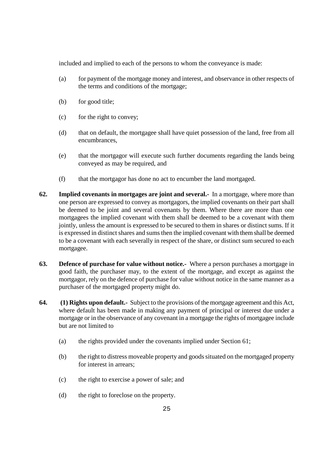included and implied to each of the persons to whom the conveyance is made:

- (a) for payment of the mortgage money and interest, and observance in other respects of the terms and conditions of the mortgage;
- (b) for good title;
- (c) for the right to convey;
- (d) that on default, the mortgagee shall have quiet possession of the land, free from all encumbrances,
- (e) that the mortgagor will execute such further documents regarding the lands being conveyed as may be required, and
- (f) that the mortgagor has done no act to encumber the land mortgaged.
- **62. Implied covenants in mortgages are joint and several.-** In a mortgage, where more than one person are expressed to convey as mortgagors, the implied covenants on their part shall be deemed to be joint and several covenants by them. Where there are more than one mortgagees the implied covenant with them shall be deemed to be a covenant with them jointly, unless the amount is expressed to be secured to them in shares or distinct sums. If it is expressed in distinct shares and sums then the implied covenant with them shall be deemed to be a covenant with each severally in respect of the share, or distinct sum secured to each mortgagee.
- **63. Defence of purchase for value without notice.-** Where a person purchases a mortgage in good faith, the purchaser may, to the extent of the mortgage, and except as against the mortgagor, rely on the defence of purchase for value without notice in the same manner as a purchaser of the mortgaged property might do.
- **64. (1) Rights upon default.-** Subject to the provisions of the mortgage agreement and this Act, where default has been made in making any payment of principal or interest due under a mortgage or in the observance of any covenant in a mortgage the rights of mortgagee include but are not limited to
	- (a) the rights provided under the covenants implied under Section 61;
	- (b) the right to distress moveable property and goods situated on the mortgaged property for interest in arrears;
	- (c) the right to exercise a power of sale; and
	- (d) the right to foreclose on the property.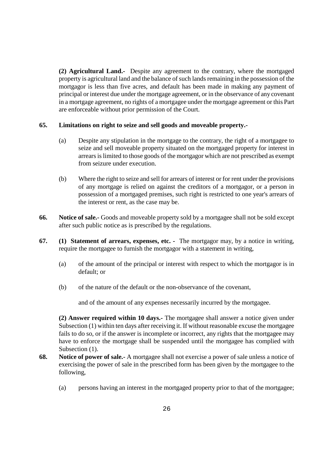**(2) Agricultural Land.-** Despite any agreement to the contrary, where the mortgaged property is agricultural land and the balance of such lands remaining in the possession of the mortgagor is less than five acres, and default has been made in making any payment of principal or interest due under the mortgage agreement, or in the observance of any covenant in a mortgage agreement, no rights of a mortgagee under the mortgage agreement or this Part are enforceable without prior permission of the Court.

#### **65. Limitations on right to seize and sell goods and moveable property.-**

- (a) Despite any stipulation in the mortgage to the contrary, the right of a mortgagee to seize and sell moveable property situated on the mortgaged property for interest in arrears is limited to those goods of the mortgagor which are not prescribed as exempt from seizure under execution.
- (b) Where the right to seize and sell for arrears of interest or for rent under the provisions of any mortgage is relied on against the creditors of a mortgagor, or a person in possession of a mortgaged premises, such right is restricted to one year's arrears of the interest or rent, as the case may be.
- **66. Notice of sale.-** Goods and moveable property sold by a mortgagee shall not be sold except after such public notice as is prescribed by the regulations.
- **67. (1) Statement of arrears, expenses, etc. -** The mortgagor may, by a notice in writing, require the mortgagee to furnish the mortgagor with a statement in writing,
	- (a) of the amount of the principal or interest with respect to which the mortgagor is in default; or
	- (b) of the nature of the default or the non-observance of the covenant,

and of the amount of any expenses necessarily incurred by the mortgagee.

**(2) Answer required within 10 days.-** The mortgagee shall answer a notice given under Subsection (1) within ten days after receiving it. If without reasonable excuse the mortgagee fails to do so, or if the answer is incomplete or incorrect, any rights that the mortgagee may have to enforce the mortgage shall be suspended until the mortgagee has complied with Subsection  $(1)$ .

- **68. Notice of power of sale.-** A mortgagee shall not exercise a power of sale unless a notice of exercising the power of sale in the prescribed form has been given by the mortgagee to the following,
	- (a) persons having an interest in the mortgaged property prior to that of the mortgagee;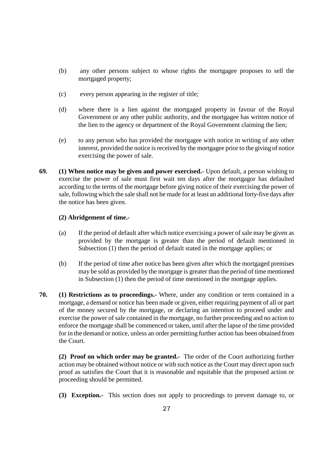- (b) any other persons subject to whose rights the mortgagee proposes to sell the mortgaged property;
- (c) every person appearing in the register of title;
- (d) where there is a lien against the mortgaged property in favour of the Royal Government or any other public authority, and the mortgagee has written notice of the lien to the agency or department of the Royal Government claiming the lien;
- (e) to any person who has provided the mortgagee with notice in writing of any other interest, provided the notice is received by the mortgagee prior to the giving of notice exercising the power of sale.
- **69. (1) When notice may be given and power exercised.-** Upon default, a person wishing to exercise the power of sale must first wait ten days after the mortgagor has defaulted according to the terms of the mortgage before giving notice of their exercising the power of sale, following which the sale shall not be made for at least an additional forty-five days after the notice has been given.

## **(2) Abridgement of time.-**

- (a) If the period of default after which notice exercising a power of sale may be given as provided by the mortgage is greater than the period of default mentioned in Subsection (1) then the period of default stated in the mortgage applies; or
- (b) If the period of time after notice has been given after which the mortgaged premises may be sold as provided by the mortgage is greater than the period of time mentioned in Subsection (1) then the period of time mentioned in the mortgage applies.
- **70. (1) Restrictions as to proceedings.-** Where, under any condition or term contained in a mortgage, a demand or notice has been made or given, either requiring payment of all or part of the money secured by the mortgage, or declaring an intention to proceed under and exercise the power of sale contained in the mortgage, no further proceeding and no action to enforce the mortgage shall be commenced or taken, until after the lapse of the time provided for in the demand or notice, unless an order permitting further action has been obtained from the Court.

**(2) Proof on which order may be granted.-** The order of the Court authorizing further action may be obtained without notice or with such notice as the Court may direct upon such proof as satisfies the Court that it is reasonable and equitable that the proposed action or proceeding should be permitted.

**(3) Exception.-** This section does not apply to proceedings to prevent damage to, or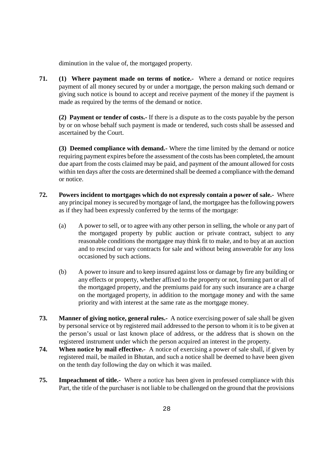diminution in the value of, the mortgaged property.

**71. (1) Where payment made on terms of notice.-** Where a demand or notice requires payment of all money secured by or under a mortgage, the person making such demand or giving such notice is bound to accept and receive payment of the money if the payment is made as required by the terms of the demand or notice.

**(2) Payment or tender of costs.-** If there is a dispute as to the costs payable by the person by or on whose behalf such payment is made or tendered, such costs shall be assessed and ascertained by the Court.

**(3) Deemed compliance with demand.-** Where the time limited by the demand or notice requiring payment expires before the assessment of the costs has been completed, the amount due apart from the costs claimed may be paid, and payment of the amount allowed for costs within ten days after the costs are determined shall be deemed a compliance with the demand or notice.

- **72. Powers incident to mortgages which do not expressly contain a power of sale.-** Where any principal money is secured by mortgage of land, the mortgagee has the following powers as if they had been expressly conferred by the terms of the mortgage:
	- (a) A power to sell, or to agree with any other person in selling, the whole or any part of the mortgaged property by public auction or private contract, subject to any reasonable conditions the mortgagee may think fit to make, and to buy at an auction and to rescind or vary contracts for sale and without being answerable for any loss occasioned by such actions.
	- (b) A power to insure and to keep insured against loss or damage by fire any building or any effects or property, whether affixed to the property or not, forming part or all of the mortgaged property, and the premiums paid for any such insurance are a charge on the mortgaged property, in addition to the mortgage money and with the same priority and with interest at the same rate as the mortgage money.
- **73. Manner of giving notice, general rules.-** A notice exercising power of sale shall be given by personal service ot by registered mail addressed to the person to whom it is to be given at the person's usual or last known place of address, or the address that is shown on the registered instrument under which the person acquired an interest in the property.
- **74. When notice by mail effective.-** A notice of exercising a power of sale shall, if given by registered mail, be mailed in Bhutan, and such a notice shall be deemed to have been given on the tenth day following the day on which it was mailed.
- **75. Impeachment of title.-** Where a notice has been given in professed compliance with this Part, the title of the purchaser is not liable to be challenged on the ground that the provisions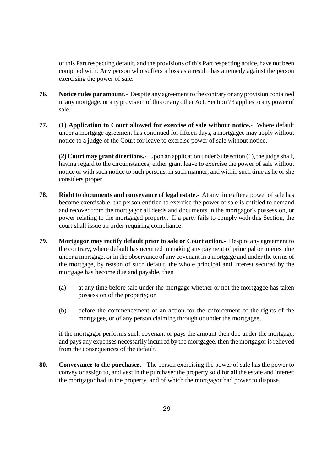of this Part respecting default, and the provisions of this Part respecting notice, have not been complied with. Any person who suffers a loss as a result has a remedy against the person exercising the power of sale.

- **76. Notice rules paramount.-** Despite any agreement to the contrary or any provision contained in any mortgage, or any provision of this or any other Act, Section 73 applies to any power of sale.
- **77. (1) Application to Court allowed for exercise of sale without notice.-** Where default under a mortgage agreement has continued for fifteen days, a mortgagee may apply without notice to a judge of the Court for leave to exercise power of sale without notice.

**(2) Court may grant directions.-** Upon an application under Subsection (1), the judge shall, having regard to the circumstances, either grant leave to exercise the power of sale without notice or with such notice to such persons, in such manner, and within such time as he or she considers proper.

- **78. Right to documents and conveyance of legal estate.-** At any time after a power of sale has become exercisable, the person entitled to exercise the power of sale is entitled to demand and recover from the mortgagor all deeds and documents in the mortgagor's possession, or power relating to the mortgaged property. If a party fails to comply with this Section, the court shall issue an order requiring compliance.
- **79. Mortgagor may rectify default prior to sale or Court action.-** Despite any agreement to the contrary, where default has occurred in making any payment of principal or interest due under a mortgage, or in the observance of any covenant in a mortgage and under the terms of the mortgage, by reason of such default, the whole principal and interest secured by the mortgage has become due and payable, then
	- (a) at any time before sale under the mortgage whether or not the mortgagee has taken possession of the property; or
	- (b) before the commencement of an action for the enforcement of the rights of the mortgagee, or of any person claiming through or under the mortgagee,

if the mortgagor performs such covenant or pays the amount then due under the mortgage, and pays any expenses necessarily incurred by the mortgagee, then the mortgagor is relieved from the consequences of the default.

**80. Conveyance to the purchaser.-** The person exercising the power of sale has the power to convey or assign to, and vest in the purchaser the property sold for all the estate and interest the mortgagor had in the property, and of which the mortgagor had power to dispose.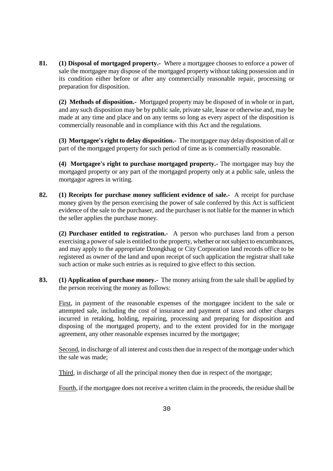**81. (1) Disposal of mortgaged property.-** Where a mortgagee chooses to enforce a power of sale the mortgagee may dispose of the mortgaged property without taking possession and in its condition either before or after any commercially reasonable repair, processing or preparation for disposition.

**(2) Methods of disposition.-** Mortgaged property may be disposed of in whole or in part, and any such disposition may be by public sale, private sale, lease or otherwise and, may be made at any time and place and on any terms so long as every aspect of the disposition is commercially reasonable and in compliance with this Act and the regulations.

**(3) Mortgagee's right to delay disposition.-** The mortgagee may delay disposition of all or part of the mortgaged property for such period of time as is commercially reasonable.

**(4) Mortgagee's right to purchase mortgaged property.-** The mortgagee may buy the mortgaged property or any part of the mortgaged property only at a public sale, unless the mortgagor agrees in writing.

**82. (1) Receipts for purchase money sufficient evidence of sale.-** A receipt for purchase money given by the person exercising the power of sale conferred by this Act is sufficient evidence of the sale to the purchaser, and the purchaser is not liable for the manner in which the seller applies the purchase money.

**(2) Purchaser entitled to registration.-** A person who purchases land from a person exercising a power of sale is entitled to the property, whether or not subject to encumbrances, and may apply to the appropriate Dzongkhag or City Corporation land records office to be registered as owner of the land and upon receipt of such application the registrar shall take such action or make such entries as is required to give effect to this section.

**83. (1) Application of purchase money.-** The money arising from the sale shall be applied by the person receiving the money as follows:

First, in payment of the reasonable expenses of the mortgagee incident to the sale or attempted sale, including the cost of insurance and payment of taxes and other charges incurred in retaking, holding, repairing, processing and preparing for disposition and disposing of the mortgaged property, and to the extent provided for in the mortgage agreement, any other reasonable expenses incurred by the mortgagee;

Second, in discharge of all interest and costs then due in respect of the mortgage under which the sale was made;

Third, in discharge of all the principal money then due in respect of the mortgage;

Fourth, if the mortgagee does not receive a written claim in the proceeds, the residue shall be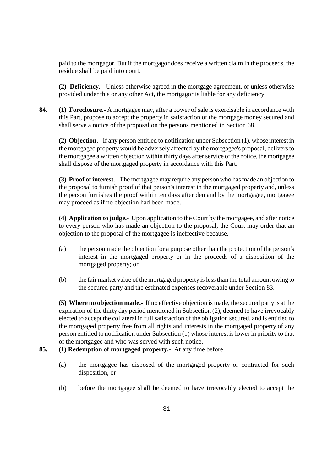paid to the mortgagor. But if the mortgagor does receive a written claim in the proceeds, the residue shall be paid into court.

**(2) Deficiency.-** Unless otherwise agreed in the mortgage agreement, or unless otherwise provided under this or any other Act, the mortgagor is liable for any deficiency

**84. (1) Foreclosure.-** A mortgagee may, after a power of sale is exercisable in accordance with this Part, propose to accept the property in satisfaction of the mortgage money secured and shall serve a notice of the proposal on the persons mentioned in Section 68.

**(2) Objection.-** If any person entitled to notification under Subsection (1), whose interest in the mortgaged property would be adversely affected by the mortgagee's proposal, delivers to the mortgagee a written objection within thirty days after service of the notice, the mortgagee shall dispose of the mortgaged property in accordance with this Part.

**(3) Proof of interest.-** The mortgagee may require any person who has made an objection to the proposal to furnish proof of that person's interest in the mortgaged property and, unless the person furnishes the proof within ten days after demand by the mortgagee, mortgagee may proceed as if no objection had been made.

**(4) Application to judge.-** Upon application to the Court by the mortgagee, and after notice to every person who has made an objection to the proposal, the Court may order that an objection to the proposal of the mortgagee is ineffective because,

- (a) the person made the objection for a purpose other than the protection of the person's interest in the mortgaged property or in the proceeds of a disposition of the mortgaged property; or
- (b) the fair market value of the mortgaged property is less than the total amount owing to the secured party and the estimated expenses recoverable under Section 83.

**(5) Where no objection made.-** If no effective objection is made, the secured party is at the expiration of the thirty day period mentioned in Subsection (2), deemed to have irrevocably elected to accept the collateral in full satisfaction of the obligation secured, and is entitled to the mortgaged property free from all rights and interests in the mortgaged property of any person entitled to notification under Subsection (1) whose interest is lower in priority to that of the mortgagee and who was served with such notice.

## **85. (1) Redemption of mortgaged property.-** At any time before

- (a) the mortgagee has disposed of the mortgaged property or contracted for such disposition, or
- (b) before the mortgagee shall be deemed to have irrevocably elected to accept the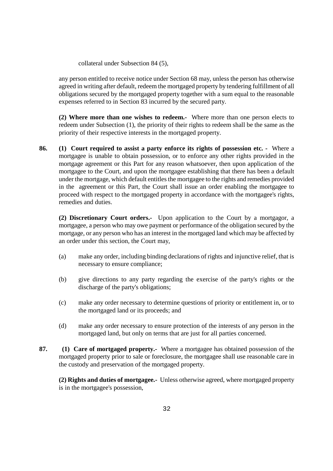collateral under Subsection 84 (5),

any person entitled to receive notice under Section 68 may, unless the person has otherwise agreed in writing after default, redeem the mortgaged property by tendering fulfillment of all obligations secured by the mortgaged property together with a sum equal to the reasonable expenses referred to in Section 83 incurred by the secured party.

**(2) Where more than one wishes to redeem.-** Where more than one person elects to redeem under Subsection (1), the priority of their rights to redeem shall be the same as the priority of their respective interests in the mortgaged property.

**86. (1) Court required to assist a party enforce its rights of possession etc. -** Where a mortgagee is unable to obtain possession, or to enforce any other rights provided in the mortgage agreement or this Part for any reason whatsoever, then upon application of the mortgagee to the Court, and upon the mortgagee establishing that there has been a default under the mortgage, which default entitles the mortgagee to the rights and remedies provided in the agreement or this Part, the Court shall issue an order enabling the mortgagee to proceed with respect to the mortgaged property in accordance with the mortgagee's rights, remedies and duties.

**(2) Discretionary Court orders.-** Upon application to the Court by a mortgagor, a mortgagee, a person who may owe payment or performance of the obligation secured by the mortgage, or any person who has an interest in the mortgaged land which may be affected by an order under this section, the Court may,

- (a) make any order, including binding declarations of rights and injunctive relief, that is necessary to ensure compliance;
- (b) give directions to any party regarding the exercise of the party's rights or the discharge of the party's obligations;
- (c) make any order necessary to determine questions of priority or entitlement in, or to the mortgaged land or its proceeds; and
- (d) make any order necessary to ensure protection of the interests of any person in the mortgaged land, but only on terms that are just for all parties concerned.
- **87. (1) Care of mortgaged property.-** Where a mortgagee has obtained possession of the mortgaged property prior to sale or foreclosure, the mortgagee shall use reasonable care in the custody and preservation of the mortgaged property.

**(2) Rights and duties of mortgagee.-** Unless otherwise agreed, where mortgaged property is in the mortgagee's possession,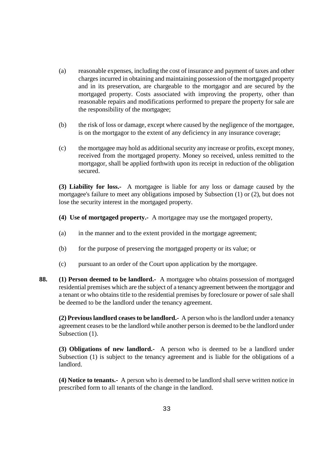- (a) reasonable expenses, including the cost of insurance and payment of taxes and other charges incurred in obtaining and maintaining possession of the mortgaged property and in its preservation, are chargeable to the mortgagor and are secured by the mortgaged property. Costs associated with improving the property, other than reasonable repairs and modifications performed to prepare the property for sale are the responsibility of the mortgagee;
- (b) the risk of loss or damage, except where caused by the negligence of the mortgagee, is on the mortgagor to the extent of any deficiency in any insurance coverage;
- (c) the mortgagee may hold as additional security any increase or profits, except money, received from the mortgaged property. Money so received, unless remitted to the mortgagor, shall be applied forthwith upon its receipt in reduction of the obligation secured.

**(3) Liability for loss.-** A mortgagee is liable for any loss or damage caused by the mortgagee's failure to meet any obligations imposed by Subsection (1) or (2), but does not lose the security interest in the mortgaged property.

- **(4) Use of mortgaged property.-** A mortgagee may use the mortgaged property,
- (a) in the manner and to the extent provided in the mortgage agreement;
- (b) for the purpose of preserving the mortgaged property or its value; or
- (c) pursuant to an order of the Court upon application by the mortgagee.
- **88. (1) Person deemed to be landlord.-** A mortgagee who obtains possession of mortgaged residential premises which are the subject of a tenancy agreement between the mortgagor and a tenant or who obtains title to the residential premises by foreclosure or power of sale shall be deemed to be the landlord under the tenancy agreement.

**(2) Previous landlord ceases to be landlord.-** A person who is the landlord under a tenancy agreement ceases to be the landlord while another person is deemed to be the landlord under Subsection  $(1)$ .

**(3) Obligations of new landlord.-** A person who is deemed to be a landlord under Subsection (1) is subject to the tenancy agreement and is liable for the obligations of a landlord.

**(4) Notice to tenants.-** A person who is deemed to be landlord shall serve written notice in prescribed form to all tenants of the change in the landlord.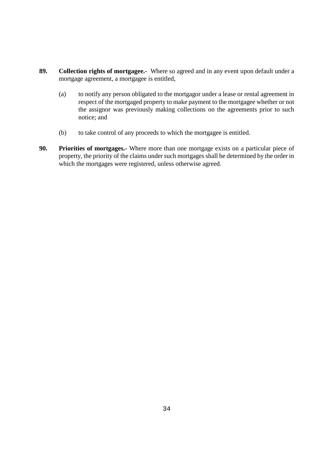- **89. Collection rights of mortgagee.-** Where so agreed and in any event upon default under a mortgage agreement, a mortgagee is entitled,
	- (a) to notify any person obligated to the mortgagor under a lease or rental agreement in respect of the mortgaged property to make payment to the mortgagee whether or not the assignor was previously making collections on the agreements prior to such notice; and
	- (b) to take control of any proceeds to which the mortgagee is entitled.
- **90. Priorities of mortgages.-** Where more than one mortgage exists on a particular piece of property, the priority of the claims under such mortgages shall be determined by the order in which the mortgages were registered, unless otherwise agreed.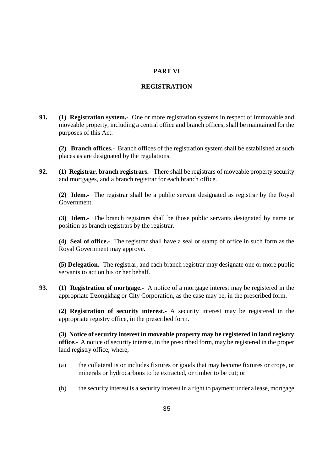# **PART VI**

# **REGISTRATION**

**91. (1) Registration system.-** One or more registration systems in respect of immovable and moveable property, including a central office and branch offices, shall be maintained for the purposes of this Act.

**(2) Branch offices.-** Branch offices of the registration system shall be established at such places as are designated by the regulations.

**92. (1) Registrar, branch registrars.-** There shall be registrars of moveable property security and mortgages, and a branch registrar for each branch office.

**(2) Idem.-** The registrar shall be a public servant designated as registrar by the Royal Government.

**(3) Idem.-** The branch registrars shall be those public servants designated by name or position as branch registrars by the registrar.

**(4) Seal of office.-** The registrar shall have a seal or stamp of office in such form as the Royal Government may approve.

**(5) Delegation.-** The registrar, and each branch registrar may designate one or more public servants to act on his or her behalf.

**93. (1) Registration of mortgage.-** A notice of a mortgage interest may be registered in the appropriate Dzongkhag or City Corporation, as the case may be, in the prescribed form.

**(2) Registration of security interest.-** A security interest may be registered in the appropriate registry office, in the prescribed form.

**(3) Notice of security interest in moveable property may be registered in land registry office.-** A notice of security interest, in the prescribed form, may be registered in the proper land registry office, where,

- (a) the collateral is or includes fixtures or goods that may become fixtures or crops, or minerals or hydrocarbons to be extracted, or timber to be cut; or
- (b) the security interest is a security interest in a right to payment under a lease, mortgage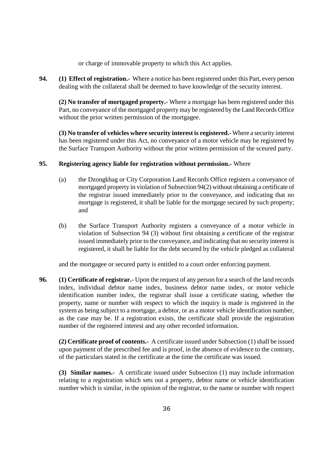or charge of immovable property to which this Act applies.

**94. (1) Effect of registration.-** Where a notice has been registered under this Part, every person dealing with the collateral shall be deemed to have knowledge of the security interest.

**(2) No transfer of mortgaged property.-** Where a mortgage has been registered under this Part, no conveyance of the mortgaged property may be registered by the Land Records Office without the prior written permission of the mortgagee.

**(3) No transfer of vehicles where security interest is registered.-** Where a security interest has been registered under this Act, no conveyance of a motor vehicle may be registered by the Surface Transport Authority without the prior written permission of the sceured party.

#### **95. Registering agency liable for registration without permission.-** Where

- (a) the Dzongkhag or City Corporation Land Records Office registers a conveyance of mortgaged property in violation of Subsection 94(2) without obtaining a certificate of the registrar issued immediately prior to the conveyance, and indicating that no mortgage is registered, it shall be liable for the mortgage secured by such property; and
- (b) the Surface Transport Authority registers a conveyance of a motor vehicle in violation of Subsection 94 (3) without first obtaining a certificate of the registrar issued immediately prior to the conveyance, and indicating that no security interest is registered, it shall be liable for the debt secured by the vehicle pledged as collateral

and the mortgagee or secured party is entitled to a court order enforcing payment.

**96. (1) Certificate of registrar.-** Upon the request of any person for a search of the land records index, individual debtor name index, business debtor name index, or motor vehicle identification number index, the registrar shall issue a certificate stating, whether the property, name or number with respect to which the inquiry is made is registered in the system as being subject to a mortgage, a debtor, or as a motor vehicle identification number, as the case may be. If a registration exists, the certificate shall provide the registration number of the registered interest and any other recorded information.

**(2) Certificate proof of contents.-** A certificate issued under Subsection (1) shall be issued upon payment of the prescribed fee and is proof, in the absence of evidence to the contrary, of the particulars stated in the certificate at the time the certificate was issued.

**(3) Similar names.-** A certificate issued under Subsection (1) may include information relating to a registration which sets out a property, debtor name or vehicle identification number which is similar, in the opinion of the registrar, to the name or number with respect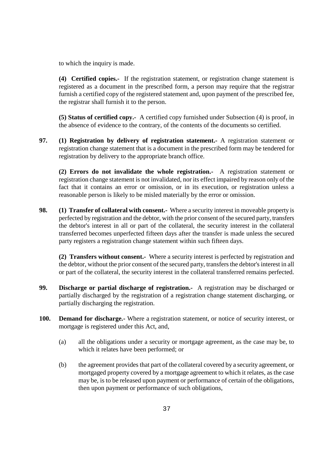to which the inquiry is made.

**(4) Certified copies.-** If the registration statement, or registration change statement is registered as a document in the prescribed form, a person may require that the registrar furnish a certified copy of the registered statement and, upon payment of the prescribed fee, the registrar shall furnish it to the person.

**(5) Status of certified copy.-** A certified copy furnished under Subsection (4) is proof, in the absence of evidence to the contrary, of the contents of the documents so certified.

**97. (1) Registration by delivery of registration statement.-** A registration statement or registration change statement that is a document in the prescribed form may be tendered for registration by delivery to the appropriate branch office.

**(2) Errors do not invalidate the whole registration.-** A registration statement or registration change statement is not invalidated, nor its effect impaired by reason only of the fact that it contains an error or omission, or in its execution, or registration unless a reasonable person is likely to be misled materially by the error or omission.

**98.** (1) Transfer of collateral with consent.- Where a security interest in moveable property is perfected by registration and the debtor, with the prior consent of the secured party, transfers the debtor's interest in all or part of the collateral, the security interest in the collateral transferred becomes unperfected fifteen days after the transfer is made unless the secured party registers a registration change statement within such fifteen days.

**(2) Transfers without consent.-** Where a security interest is perfected by registration and the debtor, without the prior consent of the secured party, transfers the debtor's interest in all or part of the collateral, the security interest in the collateral transferred remains perfected.

- **99. Discharge or partial discharge of registration.-** A registration may be discharged or partially discharged by the registration of a registration change statement discharging, or partially discharging the registration.
- **100. Demand for discharge.-** Where a registration statement, or notice of security interest, or mortgage is registered under this Act, and,
	- (a) all the obligations under a security or mortgage agreement, as the case may be, to which it relates have been performed; or
	- (b) the agreement provides that part of the collateral covered by a security agreement, or mortgaged property covered by a mortgage agreement to which it relates, as the case may be, is to be released upon payment or performance of certain of the obligations, then upon payment or performance of such obligations,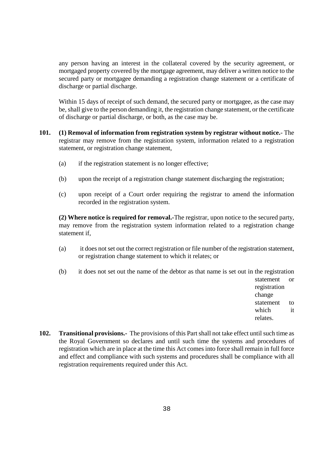any person having an interest in the collateral covered by the security agreement, or mortgaged property covered by the mortgage agreement, may deliver a written notice to the secured party or mortgagee demanding a registration change statement or a certificate of discharge or partial discharge.

Within 15 days of receipt of such demand, the secured party or mortgagee, as the case may be, shall give to the person demanding it, the registration change statement, or the certificate of discharge or partial discharge, or both, as the case may be.

- **101. (1) Removal of information from registration system by registrar without notice.** The registrar may remove from the registration system, information related to a registration statement, or registration change statement,
	- (a) if the registration statement is no longer effective;
	- (b) upon the receipt of a registration change statement discharging the registration;
	- (c) upon receipt of a Court order requiring the registrar to amend the information recorded in the registration system.

**(2) Where notice is required for removal.-**The registrar, upon notice to the secured party, may remove from the registration system information related to a registration change statement if,

- (a) it does not set out the correct registration or file number of the registration statement, or registration change statement to which it relates; or
- (b) it does not set out the name of the debtor as that name is set out in the registration

statement or registration change statement to which it relates.

**102. Transitional provisions.-** The provisions of this Part shall not take effect until such time as the Royal Government so declares and until such time the systems and procedures of registration which are in place at the time this Act comes into force shall remain in full force and effect and compliance with such systems and procedures shall be compliance with all registration requirements required under this Act.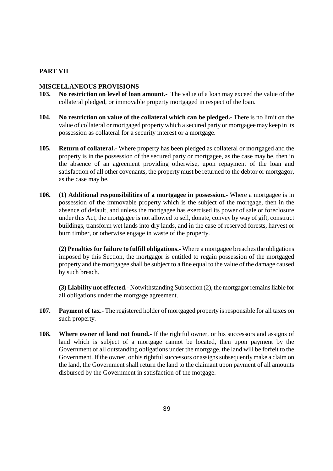## **PART VII**

#### **MISCELLANEOUS PROVISIONS**

- **103. No restriction on level of loan amount.-** The value of a loan may exceed the value of the collateral pledged, or immovable property mortgaged in respect of the loan.
- **104. No restriction on value of the collateral which can be pledged.-** There is no limit on the value of collateral or mortgaged property which a secured party or mortgagee may keep in its possession as collateral for a security interest or a mortgage.
- **105. Return of collateral.-** Where property has been pledged as collateral or mortgaged and the property is in the possession of the secured party or mortgagee, as the case may be, then in the absence of an agreement providing otherwise, upon repayment of the loan and satisfaction of all other covenants, the property must be returned to the debtor or mortgagor, as the case may be.
- **106. (1) Additional responsibilities of a mortgagee in possession.-** Where a mortgagee is in possession of the immovable property which is the subject of the mortgage, then in the absence of default, and unless the mortgagee has exercised its power of sale or foreclosure under this Act, the mortgagee is not allowed to sell, donate, convey by way of gift, construct buildings, transform wet lands into dry lands, and in the case of reserved forests, harvest or burn timber, or otherwise engage in waste of the property.

**(2) Penalties for failure to fulfill obligations.-** Where a mortgagee breaches the obligations imposed by this Section, the mortgagor is entitled to regain possession of the mortgaged property and the mortgagee shall be subject to a fine equal to the value of the damage caused by such breach.

**(3) Liability not effected.-** Notwithstanding Subsection (2), the mortgagor remains liable for all obligations under the mortgage agreement.

- **107. Payment of tax.-** The registered holder of mortgaged property is responsible for all taxes on such property.
- **108. Where owner of land not found.-** If the rightful owner, or his successors and assigns of land which is subject of a mortgage cannot be located, then upon payment by the Government of all outstanding obligations under the mortgage, the land will be forfeit to the Government. If the owner, or his rightful successors or assigns subsequently make a claim on the land, the Government shall return the land to the claimant upon payment of all amounts disbursed by the Government in satisfaction of the motgage.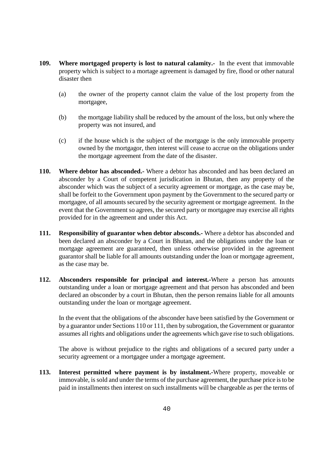- **109. Where mortgaged property is lost to natural calamity.-** In the event that immovable property which is subject to a mortage agreement is damaged by fire, flood or other natural disaster then
	- (a) the owner of the property cannot claim the value of the lost property from the mortgagee,
	- (b) the mortgage liability shall be reduced by the amount of the loss, but only where the property was not insured, and
	- (c) if the house which is the subject of the mortgage is the only immovable property owned by the mortgagor, then interest will cease to accrue on the obligations under the mortgage agreement from the date of the disaster.
- **110. Where debtor has absconded.-** Where a debtor has absconded and has been declared an absconder by a Court of competent jurisdication in Bhutan, then any property of the absconder which was the subject of a security agreement or mortgage, as the case may be, shall be forfeit to the Government upon payment by the Government to the secured party or mortgagee, of all amounts secured by the security agreement or mortgage agreement. In the event that the Government so agrees, the secured party or mortgagee may exercise all rights provided for in the agreement and under this Act.
- **111. Responsibility of guarantor when debtor absconds.-** Where a debtor has absconded and been declared an absconder by a Court in Bhutan, and the obligations under the loan or mortgage agreement are guaranteed, then unless otherwise provided in the agreement guarantor shall be liable for all amounts outstanding under the loan or mortgage agreement, as the case may be.
- **112. Absconders responsible for principal and interest.-**Where a person has amounts outstanding under a loan or mortgage agreement and that person has absconded and been declared an obsconder by a court in Bhutan, then the person remains liable for all amounts outstanding under the loan or mortgage agreement.

In the event that the obligations of the absconder have been satisfied by the Government or by a guarantor under Sections 110 or 111, then by subrogation, the Government or guarantor assumes all rights and obligations under the agreements which gave rise to such obligations.

The above is without prejudice to the rights and obligations of a secured party under a security agreement or a mortgagee under a mortgage agreement.

**113. Interest permitted where payment is by instalment.-**Where property, moveable or immovable, is sold and under the terms of the purchase agreement, the purchase price is to be paid in installments then interest on such installments will be chargeable as per the terms of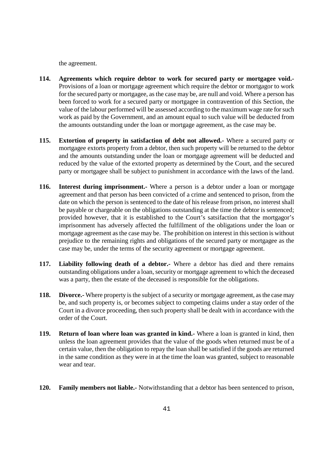the agreement.

- **114. Agreements which require debtor to work for secured party or mortgagee void.-** Provisions of a loan or mortgage agreement which require the debtor or mortgagor to work for the secured party or mortgagee, as the case may be, are null and void. Where a person has been forced to work for a secured party or mortgagee in contravention of this Section, the value of the labour performed will be assessed according to the maximum wage rate for such work as paid by the Government, and an amount equal to such value will be deducted from the amounts outstanding under the loan or mortgage agreement, as the case may be.
- **115. Extortion of property in satisfaction of debt not allowed.-** Where a secured party or mortgagee extorts property from a debtor, then such property will be returned to the debtor and the amounts outstanding under the loan or mortgage agreement will be deducted and reduced by the value of the extorted property as determined by the Court, and the secured party or mortgagee shall be subject to punishment in accordance with the laws of the land.
- **116. Interest during imprisonment.-** Where a person is a debtor under a loan or mortgage agreement and that person has been convicted of a crime and sentenced to prison, from the date on which the person is sentenced to the date of his release from prison, no interest shall be payable or chargeable on the obligations outstanding at the time the debtor is sentenced; provided however, that it is established to the Court's satsifaction that the mortgagor's imprisonment has adversely affected the fulfillment of the obligations under the loan or mortgage agreement as the case may be. The prohibition on interest in this section is without prejudice to the remaining rights and obligations of the secured party or mortgagee as the case may be, under the terms of the security agreement or mortgage agreement.
- **117. Liability following death of a debtor.-** Where a debtor has died and there remains outstanding obligations under a loan, security or mortgage agreement to which the deceased was a party, then the estate of the deceased is responsible for the obligations.
- **118. Divorce.-** Where property is the subject of a security or mortgage agreement, as the case may be, and such property is, or becomes subject to competing claims under a stay order of the Court in a divorce proceeding, then such property shall be dealt with in accordance with the order of the Court.
- **119. Return of loan where loan was granted in kind.-** Where a loan is granted in kind, then unless the loan agreement provides that the value of the goods when returned must be of a certain value, then the obligation to repay the loan shall be satisfied if the goods are returned in the same condition as they were in at the time the loan was granted, subject to reasonable wear and tear.
- **120. Family members not liable.-** Notwithstanding that a debtor has been sentenced to prison,